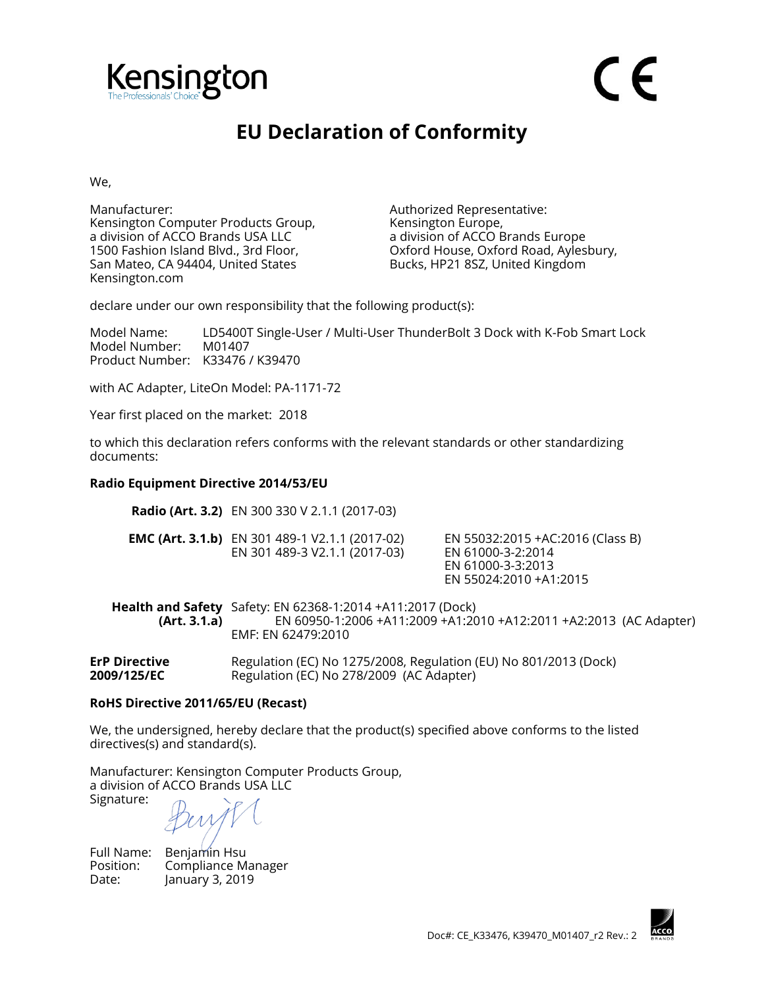

## **EU Declaration of Conformity**

We,

Manufacturer: Authorized Representative: Kensington Computer Products Group, a division of ACCO Brands USA LLC 1500 Fashion Island Blvd., 3rd Floor, San Mateo, CA 94404, United States Kensington.com

Kensington Europe, a division of ACCO Brands Europe Oxford House, Oxford Road, Aylesbury, Bucks, HP21 8SZ, United Kingdom

declare under our own responsibility that the following product(s):

Model Name: LD5400T Single-User / Multi-User ThunderBolt 3 Dock with K-Fob Smart Lock Model Number: M01407 Product Number: K33476 / K39470

with AC Adapter, LiteOn Model: PA-1171-72

Year first placed on the market: 2018

to which this declaration refers conforms with the relevant standards or other standardizing documents:

## **Radio Equipment Directive 2014/53/EU**

**Radio (Art. 3.2)** EN 300 330 V 2.1.1 (2017-03)

| <b>EMC (Art. 3.1.b)</b> EN 301 489-1 V2.1.1 (2017-02) | EN 55032:2015 +AC:2016 (Class B) |
|-------------------------------------------------------|----------------------------------|
| EN 301 489-3 V2.1.1 (2017-03)                         | EN 61000-3-2:2014                |
|                                                       | EN 61000-3-3:2013                |
|                                                       | EN 55024:2010 +A1:2015           |

**Health and Safety**  Safety: EN 62368-1:2014 +A11:2017 (Dock) **(Art. 3.1.a)** EN 60950-1:2006 +A11:2009 +A1:2010 +A12:2011 +A2:2013 (AC Adapter) EMF: EN 62479:2010

**ErP Directive 2009/125/EC** Regulation (EC) No 1275/2008, Regulation (EU) No 801/2013 (Dock) Regulation (EC) No 278/2009 (AC Adapter)

## **RoHS Directive 2011/65/EU (Recast)**

We, the undersigned, hereby declare that the product(s) specified above conforms to the listed directives(s) and standard(s).

Manufacturer: Kensington Computer Products Group, a division of ACCO Brands USA LLC Signature:

Full Name: Benjamin Hsu

Position: Compliance Manager Date: January 3, 2019